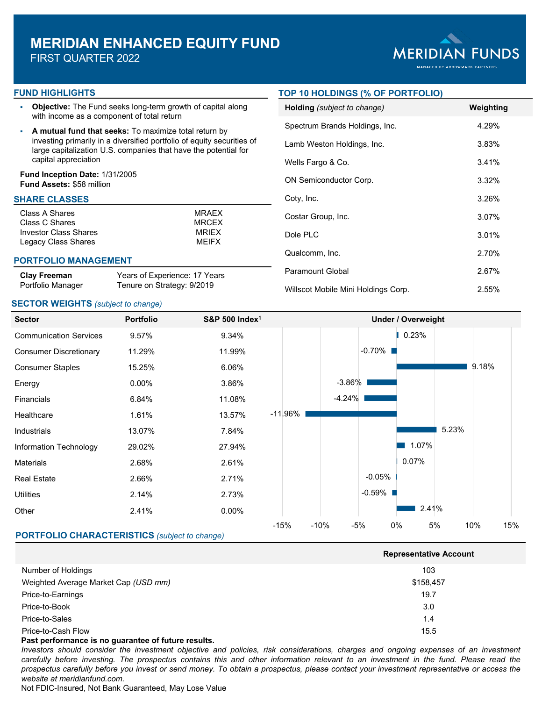# **MERIDIAN ENHANCED EQUITY FUND**

FIRST QUARTER 2022



#### **FUND HIGHLIGHTS**

- **Objective:** The Fund seeks long-term growth of capital along with income as a component of total return
- **A mutual fund that seeks:** To maximize total return by investing primarily in a diversified portfolio of equity securities of large capitalization U.S. companies that have the potential for capital appreciation

## **Fund Inception Date:** 1/31/2005 **Fund Assets:** \$58 million

## **SHARE CLASSES**

| MRAFX        |
|--------------|
| <b>MRCFX</b> |
| <b>MRIFX</b> |
| <b>MEIFX</b> |
|              |

#### **PORTFOLIO MANAGEMENT**

#### **Clay Freeman** Portfolio Manager

Years of Experience: 17 Years Tenure on Strategy: 9/2019

## **SECTOR WEIGHTS** *(subject to change)*

## **TOP 10 HOLDINGS (% OF PORTFOLIO)**

| <b>Holding</b> (subject to change)  | Weighting |
|-------------------------------------|-----------|
| Spectrum Brands Holdings, Inc.      | 4.29%     |
| Lamb Weston Holdings, Inc.          | 3.83%     |
| Wells Fargo & Co.                   | 3.41%     |
| ON Semiconductor Corp.              | $3.32\%$  |
| Coty, Inc.                          | 3.26%     |
| Costar Group, Inc.                  | 3.07%     |
| Dole PLC                            | 3.01%     |
| Qualcomm, Inc.                      | 2.70%     |
| Paramount Global                    | 2.67%     |
| Willscot Mobile Mini Holdings Corp. | 2.55%     |



|                                      | <b>Representative Account</b> |  |  |  |  |
|--------------------------------------|-------------------------------|--|--|--|--|
| Number of Holdings                   | 103                           |  |  |  |  |
| Weighted Average Market Cap (USD mm) | \$158,457                     |  |  |  |  |
| Price-to-Earnings                    | 19.7                          |  |  |  |  |
| Price-to-Book                        | 3.0                           |  |  |  |  |
| Price-to-Sales                       | 1.4                           |  |  |  |  |
| Price-to-Cash Flow                   | 15.5                          |  |  |  |  |

#### **Past performance is no guarantee of future results.**

Investors should consider the investment objective and policies, risk considerations, charges and ongoing expenses of an investment carefully before investing. The prospectus contains this and other information relevant to an investment in the fund. Please read the prospectus carefully before you invest or send money. To obtain a prospectus, please contact your investment representative or access the *website at meridianfund.com.*

Not FDIC-Insured, Not Bank Guaranteed, May Lose Value